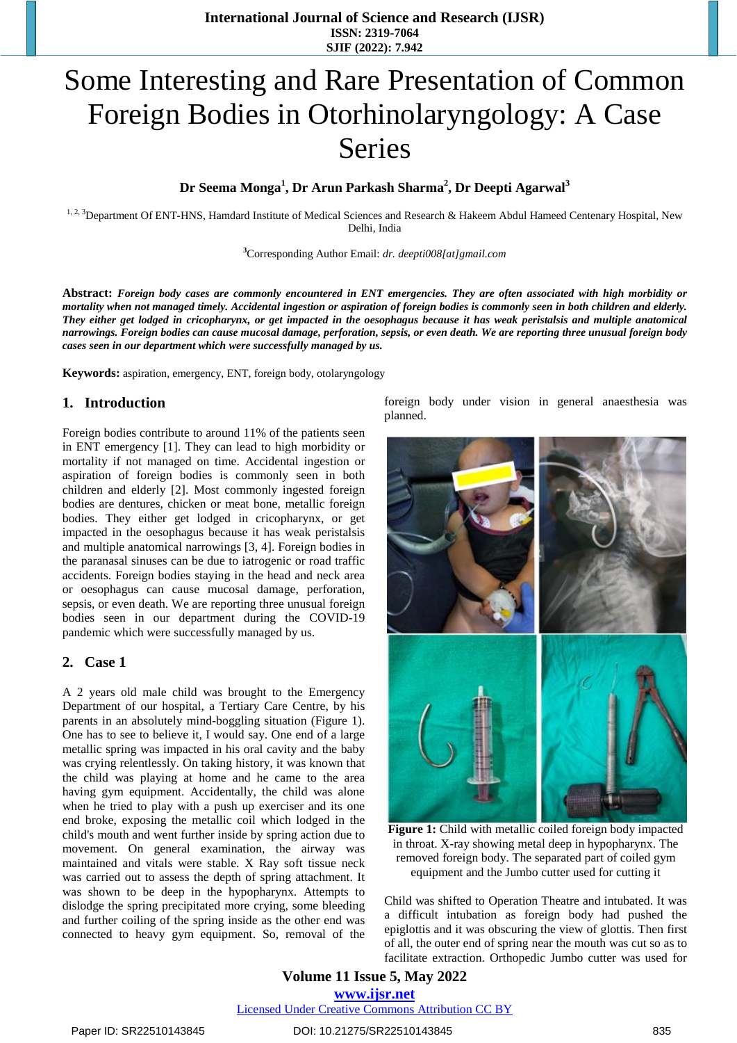# Some Interesting and Rare Presentation of Common Foreign Bodies in Otorhinolaryngology: A Case Series

## **Dr Seema Monga<sup>1</sup> , Dr Arun Parkash Sharma<sup>2</sup> , Dr Deepti Agarwal<sup>3</sup>**

<sup>1, 2, 3</sup>Department Of ENT-HNS, Hamdard Institute of Medical Sciences and Research & Hakeem Abdul Hameed Centenary Hospital, New Delhi, India

**<sup>3</sup>**Corresponding Author Email: *[dr. deepti008\[at\]gmail.com](mailto:dr.deepti008@gmail.com)*

Abstract: Foreign body cases are commonly encountered in ENT emergencies. They are often associated with high morbidity or mortality when not managed timely. Accidental ingestion or aspiration of foreign bodies is commonly seen in both children and elderly. They either get lodged in cricopharynx, or get impacted in the oesophagus because it has weak peristalsis and multiple anatomical narrowings. Foreign bodies can cause mucosal damage, perforation, sepsis, or even death. We are reporting three unusual foreign body *cases seen in our department which were successfully managed by us.* 

**Keywords:** aspiration, emergency, ENT, foreign body, otolaryngology

#### **1. Introduction**

Foreign bodies contribute to around 11% of the patients seen in ENT emergency [1]. They can lead to high morbidity or mortality if not managed on time. Accidental ingestion or aspiration of foreign bodies is commonly seen in both children and elderly [2]. Most commonly ingested foreign bodies are dentures, chicken or meat bone, metallic foreign bodies. They either get lodged in cricopharynx, or get impacted in the oesophagus because it has weak peristalsis and multiple anatomical narrowings [3, 4]. Foreign bodies in the paranasal sinuses can be due to iatrogenic or road traffic accidents. Foreign bodies staying in the head and neck area or oesophagus can cause mucosal damage, perforation, sepsis, or even death. We are reporting three unusual foreign bodies seen in our department during the COVID-19 pandemic which were successfully managed by us.

#### **2. Case 1**

A 2 years old male child was brought to the Emergency Department of our hospital, a Tertiary Care Centre, by his parents in an absolutely mind-boggling situation (Figure 1). One has to see to believe it, I would say. One end of a large metallic spring was impacted in his oral cavity and the baby was crying relentlessly. On taking history, it was known that the child was playing at home and he came to the area having gym equipment. Accidentally, the child was alone when he tried to play with a push up exerciser and its one end broke, exposing the metallic coil which lodged in the child's mouth and went further inside by spring action due to movement. On general examination, the airway was maintained and vitals were stable. X Ray soft tissue neck was carried out to assess the depth of spring attachment. It was shown to be deep in the hypopharynx. Attempts to dislodge the spring precipitated more crying, some bleeding and further coiling of the spring inside as the other end was connected to heavy gym equipment. So, removal of the foreign body under vision in general anaesthesia was planned.



**Figure 1:** Child with metallic coiled foreign body impacted in throat. X-ray showing metal deep in hypopharynx. The removed foreign body. The separated part of coiled gym equipment and the Jumbo cutter used for cutting it

Child was shifted to Operation Theatre and intubated. It was a difficult intubation as foreign body had pushed the epiglottis and it was obscuring the view of glottis. Then first of all, the outer end of spring near the mouth was cut so as to facilitate extraction. Orthopedic Jumbo cutter was used for

**Volume 11 Issue 5, May 2022 www.ijsr.net** Licensed Under Creative Commons Attribution CC BY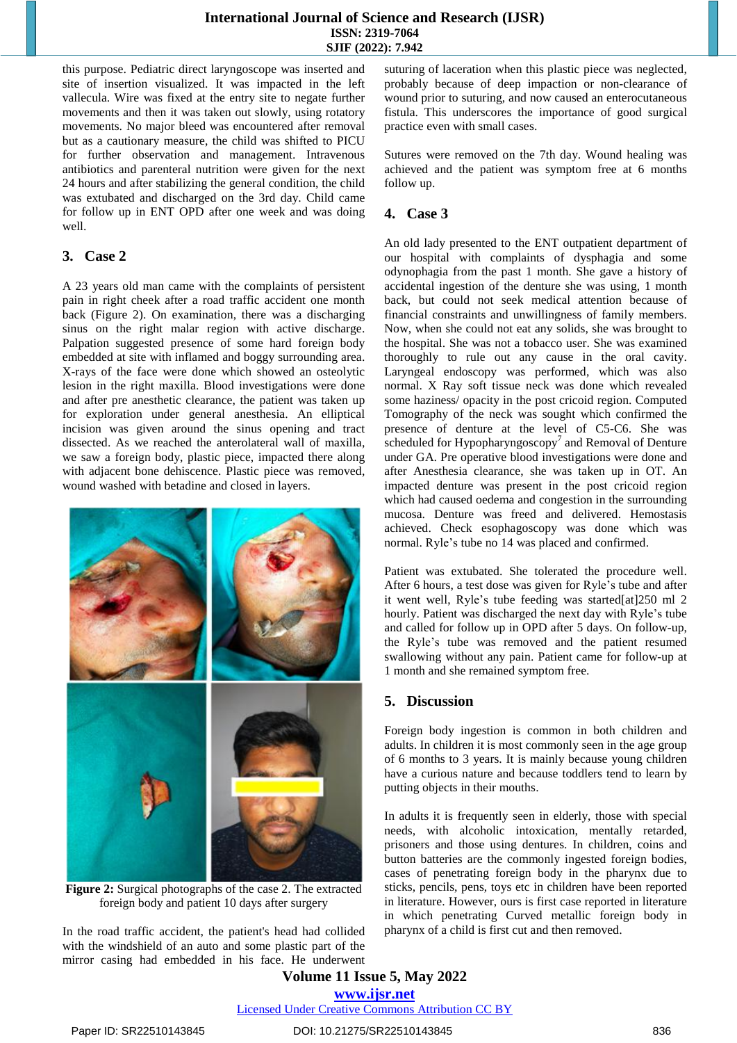#### **International Journal of Science and Research (IJSR) ISSN: 2319-7064 SJIF (2022): 7.942**

this purpose. Pediatric direct laryngoscope was inserted and site of insertion visualized. It was impacted in the left vallecula. Wire was fixed at the entry site to negate further movements and then it was taken out slowly, using rotatory movements. No major bleed was encountered after removal but as a cautionary measure, the child was shifted to PICU for further observation and management. Intravenous antibiotics and parenteral nutrition were given for the next 24 hours and after stabilizing the general condition, the child was extubated and discharged on the 3rd day. Child came for follow up in ENT OPD after one week and was doing well.

#### **3. Case 2**

A 23 years old man came with the complaints of persistent pain in right cheek after a road traffic accident one month back (Figure 2). On examination, there was a discharging sinus on the right malar region with active discharge. Palpation suggested presence of some hard foreign body embedded at site with inflamed and boggy surrounding area. X-rays of the face were done which showed an osteolytic lesion in the right maxilla. Blood investigations were done and after pre anesthetic clearance, the patient was taken up for exploration under general anesthesia. An elliptical incision was given around the sinus opening and tract dissected. As we reached the anterolateral wall of maxilla, we saw a foreign body, plastic piece, impacted there along with adjacent bone dehiscence. Plastic piece was removed, wound washed with betadine and closed in layers.



**Figure 2:** Surgical photographs of the case 2. The extracted foreign body and patient 10 days after surgery

In the road traffic accident, the patient's head had collided with the windshield of an auto and some plastic part of the mirror casing had embedded in his face. He underwent suturing of laceration when this plastic piece was neglected, probably because of deep impaction or non-clearance of wound prior to suturing, and now caused an enterocutaneous fistula. This underscores the importance of good surgical practice even with small cases.

Sutures were removed on the 7th day. Wound healing was achieved and the patient was symptom free at 6 months follow up.

## **4. Case 3**

An old lady presented to the ENT outpatient department of our hospital with complaints of dysphagia and some odynophagia from the past 1 month. She gave a history of accidental ingestion of the denture she was using, 1 month back, but could not seek medical attention because of financial constraints and unwillingness of family members. Now, when she could not eat any solids, she was brought to the hospital. She was not a tobacco user. She was examined thoroughly to rule out any cause in the oral cavity. Laryngeal endoscopy was performed, which was also normal. X Ray soft tissue neck was done which revealed some haziness/ opacity in the post cricoid region. Computed Tomography of the neck was sought which confirmed the presence of denture at the level of C5-C6. She was scheduled for Hypopharyngoscopy<sup>7</sup> and Removal of Denture under GA. Pre operative blood investigations were done and after Anesthesia clearance, she was taken up in OT. An impacted denture was present in the post cricoid region which had caused oedema and congestion in the surrounding mucosa. Denture was freed and delivered. Hemostasis achieved. Check esophagoscopy was done which was normal. Ryle's tube no 14 was placed and confirmed.

Patient was extubated. She tolerated the procedure well. After 6 hours, a test dose was given for Ryle's tube and after it went well, Ryle's tube feeding was started[at]250 ml 2 hourly. Patient was discharged the next day with Ryle's tube and called for follow up in OPD after 5 days. On follow-up, the Ryle's tube was removed and the patient resumed swallowing without any pain. Patient came for follow-up at 1 month and she remained symptom free.

## **5. Discussion**

Foreign body ingestion is common in both children and adults. In children it is most commonly seen in the age group of 6 months to 3 years. It is mainly because young children have a curious nature and because toddlers tend to learn by putting objects in their mouths.

In adults it is frequently seen in elderly, those with special needs, with alcoholic intoxication, mentally retarded, prisoners and those using dentures. In children, coins and button batteries are the commonly ingested foreign bodies, cases of penetrating foreign body in the pharynx due to sticks, pencils, pens, toys etc in children have been reported in literature. However, ours is first case reported in literature in which penetrating Curved metallic foreign body in pharynx of a child is first cut and then removed.

**Volume 11 Issue 5, May 2022 www.ijsr.net** Licensed Under Creative Commons Attribution CC BY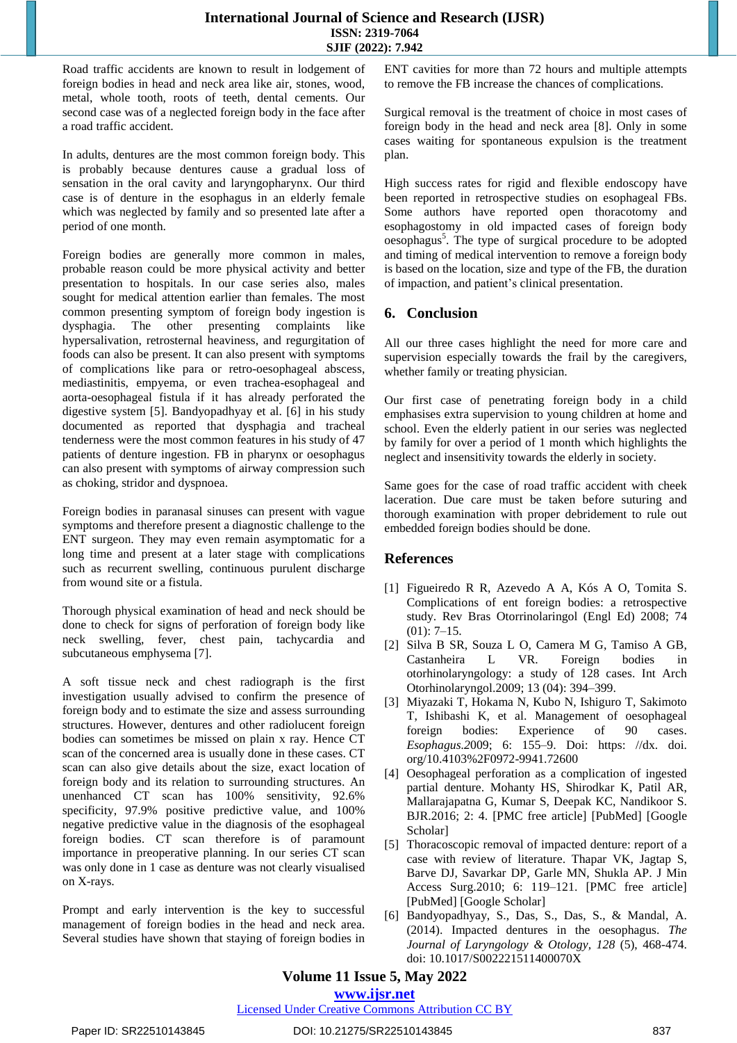Road traffic accidents are known to result in lodgement of foreign bodies in head and neck area like air, stones, wood, metal, whole tooth, roots of teeth, dental cements. Our second case was of a neglected foreign body in the face after a road traffic accident.

In adults, dentures are the most common foreign body. This is probably because dentures cause a gradual loss of sensation in the oral cavity and laryngopharynx. Our third case is of denture in the esophagus in an elderly female which was neglected by family and so presented late after a period of one month.

Foreign bodies are generally more common in males, probable reason could be more physical activity and better presentation to hospitals. In our case series also, males sought for medical attention earlier than females. The most common presenting symptom of foreign body ingestion is dysphagia. The other presenting complaints like hypersalivation, retrosternal heaviness, and regurgitation of foods can also be present. It can also present with symptoms of complications like para or retro-oesophageal abscess, mediastinitis, empyema, or even trachea-esophageal and aorta-oesophageal fistula if it has already perforated the digestive system [5]. Bandyopadhyay et al. [6] in his study documented as reported that dysphagia and tracheal tenderness were the most common features in his study of 47 patients of denture ingestion. FB in pharynx or oesophagus can also present with symptoms of airway compression such as choking, stridor and dyspnoea.

Foreign bodies in paranasal sinuses can present with vague symptoms and therefore present a diagnostic challenge to the ENT surgeon. They may even remain asymptomatic for a long time and present at a later stage with complications such as recurrent swelling, continuous purulent discharge from wound site or a fistula.

Thorough physical examination of head and neck should be done to check for signs of perforation of foreign body like neck swelling, fever, chest pain, tachycardia and subcutaneous emphysema [7].

A soft tissue neck and chest radiograph is the first investigation usually advised to confirm the presence of foreign body and to estimate the size and assess surrounding structures. However, dentures and other radiolucent foreign bodies can sometimes be missed on plain x ray. Hence CT scan of the concerned area is usually done in these cases. CT scan can also give details about the size, exact location of foreign body and its relation to surrounding structures. An unenhanced CT scan has 100% sensitivity, 92.6% specificity, 97.9% positive predictive value, and 100% negative predictive value in the diagnosis of the esophageal foreign bodies. CT scan therefore is of paramount importance in preoperative planning. In our series CT scan was only done in 1 case as denture was not clearly visualised on X-rays.

Prompt and early intervention is the key to successful management of foreign bodies in the head and neck area. Several studies have shown that staying of foreign bodies in ENT cavities for more than 72 hours and multiple attempts to remove the FB increase the chances of complications.

Surgical removal is the treatment of choice in most cases of foreign body in the head and neck area [8]. Only in some cases waiting for spontaneous expulsion is the treatment plan.

High success rates for rigid and flexible endoscopy have been reported in retrospective studies on esophageal FBs. Some authors have reported open thoracotomy and esophagostomy in old impacted cases of foreign body oesophagus<sup>5</sup>. The type of surgical procedure to be adopted and timing of medical intervention to remove a foreign body is based on the location, size and type of the FB, the duration of impaction, and patient's clinical presentation.

## **6. Conclusion**

All our three cases highlight the need for more care and supervision especially towards the frail by the caregivers, whether family or treating physician.

Our first case of penetrating foreign body in a child emphasises extra supervision to young children at home and school. Even the elderly patient in our series was neglected by family for over a period of 1 month which highlights the neglect and insensitivity towards the elderly in society.

Same goes for the case of road traffic accident with cheek laceration. Due care must be taken before suturing and thorough examination with proper debridement to rule out embedded foreign bodies should be done.

## **References**

- [1] Figueiredo R R, Azevedo A A, Kós A O, Tomita S. Complications of ent foreign bodies: a retrospective study. Rev Bras Otorrinolaringol (Engl Ed) 2008; 74  $(01): 7-15.$
- [2] Silva B SR, Souza L O, Camera M G, Tamiso A GB, Castanheira L VR. Foreign bodies in otorhinolaryngology: a study of 128 cases. Int Arch Otorhinolaryngol.2009; 13 (04): 394–399.
- [3] Miyazaki T, Hokama N, Kubo N, Ishiguro T, Sakimoto T, Ishibashi K, et al. Management of oesophageal foreign bodies: Experience of 90 cases. *Esophagus.2*009; 6: 155–9. Doi: https: //dx. doi. org/10.4103%2F0972-9941.72600
- [4] Oesophageal perforation as a complication of ingested partial denture. Mohanty HS, Shirodkar K, Patil AR, Mallarajapatna G, Kumar S, Deepak KC, Nandikoor S. BJR.2016; 2: 4. [PMC free article] [PubMed] [Google Scholar]
- [5] Thoracoscopic removal of impacted denture: report of a case with review of literature. Thapar VK, Jagtap S, Barve DJ, Savarkar DP, Garle MN, Shukla AP. J Min Access Surg.2010; 6: 119–121. [PMC free article] [PubMed] [Google Scholar]
- [6] Bandyopadhyay, S., Das, S., Das, S., & Mandal, A. (2014). Impacted dentures in the oesophagus. *The Journal of Laryngology & Otology, 128* (5), 468-474. doi: 10.1017/S002221511400070X

### **Volume 11 Issue 5, May 2022 www.ijsr.net**

Licensed Under Creative Commons Attribution CC BY